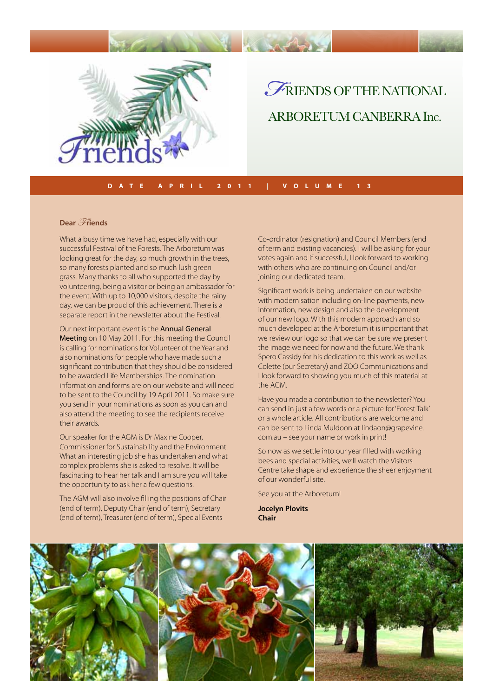

## *F* riends of the NATIONAL ARBORETUM CANBERRA Inc.

#### **Date A PRIL 2011 | V o l ume 13**

#### **Dear** Friends

What a busy time we have had, especially with our successful Festival of the Forests. The Arboretum was looking great for the day, so much growth in the trees, so many forests planted and so much lush green grass. Many thanks to all who supported the day by volunteering, being a visitor or being an ambassador for the event. With up to 10,000 visitors, despite the rainy day, we can be proud of this achievement. There is a separate report in the newsletter about the Festival.

Our next important event is the Annual General Meeting on 10 May 2011. For this meeting the Council is calling for nominations for Volunteer of the Year and also nominations for people who have made such a significant contribution that they should be considered to be awarded Life Memberships. The nomination information and forms are on our website and will need to be sent to the Council by 19 April 2011. So make sure you send in your nominations as soon as you can and also attend the meeting to see the recipients receive their awards.

Our speaker for the AGM is Dr Maxine Cooper, Commissioner for Sustainability and the Environment. What an interesting job she has undertaken and what complex problems she is asked to resolve. It will be fascinating to hear her talk and I am sure you will take the opportunity to ask her a few questions.

The AGM will also involve filling the positions of Chair (end of term), Deputy Chair (end of term), Secretary (end of term), Treasurer (end of term), Special Events

Co-ordinator (resignation) and Council Members (end of term and existing vacancies). I will be asking for your votes again and if successful, I look forward to working with others who are continuing on Council and/or joining our dedicated team.

Significant work is being undertaken on our website with modernisation including on-line payments, new information, new design and also the development of our new logo. With this modern approach and so much developed at the Arboretum it is important that we review our logo so that we can be sure we present the image we need for now and the future. We thank Spero Cassidy for his dedication to this work as well as Colette (our Secretary) and ZOO Communications and I look forward to showing you much of this material at the AGM.

Have you made a contribution to the newsletter? You can send in just a few words or a picture for 'Forest Talk' or a whole article. All contributions are welcome and can be sent to Linda Muldoon at lindaon@grapevine. com.au – see your name or work in print!

So now as we settle into our year filled with working bees and special activities, we'll watch the Visitors Centre take shape and experience the sheer enjoyment of our wonderful site.

See you at the Arboretum!

**Jocelyn Plovits Chair**

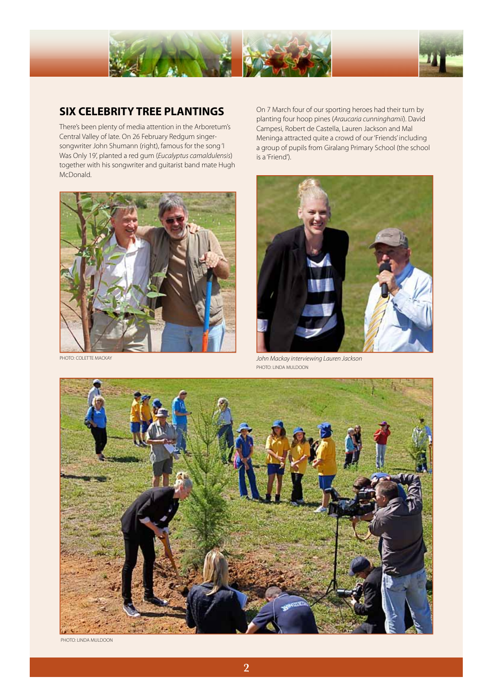



### **SIX CELEBRITY TREE PLANTINGS**

There's been plenty of media attention in the Arboretum's Central Valley of late. On 26 February Redgum singersongwriter John Shumann (right), famous for the song 'I Was Only 19', planted a red gum (*Eucalyptus camaldulensis*) together with his songwriter and guitarist band mate Hugh McDonald.



On 7 March four of our sporting heroes had their turn by planting four hoop pines (*Araucaria cunninghamii*). David Campesi, Robert de Castella, Lauren Jackson and Mal Meninga attracted quite a crowd of our 'Friends' including a group of pupils from Giralang Primary School (the school is a 'Friend').



PHOTO: COLETTE MACKAY *John Mackay interviewing Lauren Jackson*  PHOTO: LINDA MULDOON



PHOTO: LINDA MULDOON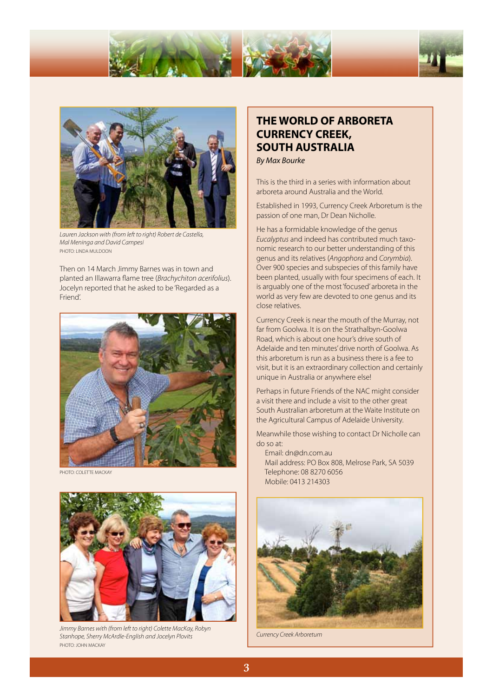



*Lauren Jackson with (from left to right) Robert de Castella, Mal Meninga and David Campesi*  PHOTO: LINDA MULDOON

Then on 14 March Jimmy Barnes was in town and planted an Illawarra flame tree (*Brachychiton acerifolius*). Jocelyn reported that he asked to be 'Regarded as a Friend'.



PHOTO: COLETTE MACKAY



*Jimmy Barnes with (from left to right) Colette MacKay, Robyn Stanhope, Sherry McArdle-English and Jocelyn Plovits* PHOTO: JOHN MACKAY

### **THE WORLD OF ARBORETA CURRENCY CREEK, SOUTH AUSTRALIA**

*By Max Bourke*

This is the third in a series with information about arboreta around Australia and the World.

Established in 1993, Currency Creek Arboretum is the passion of one man, Dr Dean Nicholle.

He has a formidable knowledge of the genus *Eucalyptus* and indeed has contributed much taxonomic research to our better understanding of this genus and its relatives (*Angophora* and *Corymbia*). Over 900 species and subspecies of this family have been planted, usually with four specimens of each. It is arguably one of the most 'focused' arboreta in the world as very few are devoted to one genus and its close relatives.

Currency Creek is near the mouth of the Murray, not far from Goolwa. It is on the Strathalbyn-Goolwa Road, which is about one hour's drive south of Adelaide and ten minutes' drive north of Goolwa. As this arboretum is run as a business there is a fee to visit, but it is an extraordinary collection and certainly unique in Australia or anywhere else!

Perhaps in future Friends of the NAC might consider a visit there and include a visit to the other great South Australian arboretum at the Waite Institute on the Agricultural Campus of Adelaide University.

Meanwhile those wishing to contact Dr Nicholle can do so at:

 Email: dn@dn.com.au Mail address: PO Box 808, Melrose Park, SA 5039 Telephone: 08 8270 6056 Mobile: 0413 214303



*Currency Creek Arboretum*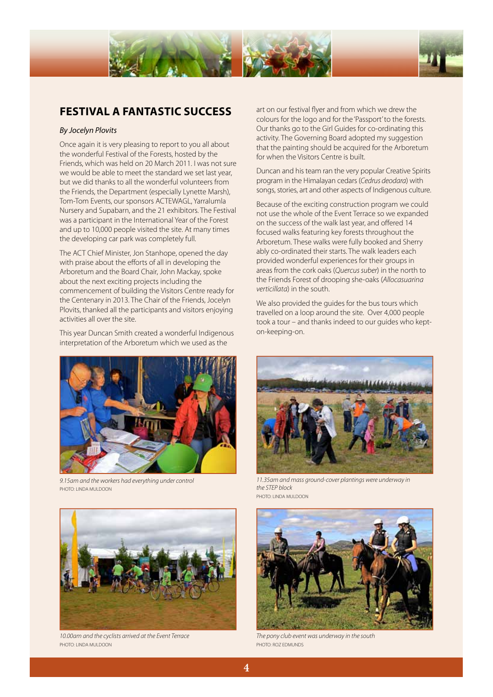



### **FESTIVAL A FANTASTIC SUCCESS**

### *By Jocelyn Plovits*

Once again it is very pleasing to report to you all about the wonderful Festival of the Forests, hosted by the Friends, which was held on 20 March 2011. I was not sure we would be able to meet the standard we set last year, but we did thanks to all the wonderful volunteers from the Friends, the Department (especially Lynette Marsh), Tom-Tom Events, our sponsors ACTEWAGL, Yarralumla Nursery and Supabarn, and the 21 exhibitors. The Festival was a participant in the International Year of the Forest and up to 10,000 people visited the site. At many times the developing car park was completely full.

The ACT Chief Minister, Jon Stanhope, opened the day with praise about the efforts of all in developing the Arboretum and the Board Chair, John Mackay, spoke about the next exciting projects including the commencement of building the Visitors Centre ready for the Centenary in 2013. The Chair of the Friends, Jocelyn Plovits, thanked all the participants and visitors enjoying activities all over the site.

This year Duncan Smith created a wonderful Indigenous interpretation of the Arboretum which we used as the



*9.15am and the workers had everything under control*  PHOTO: LINDA MULDOON



*10.00am and the cyclists arrived at the Event Terrace* PHOTO: LINDA MULDOON

art on our festival flyer and from which we drew the colours for the logo and for the 'Passport' to the forests. Our thanks go to the Girl Guides for co-ordinating this activity. The Governing Board adopted my suggestion that the painting should be acquired for the Arboretum for when the Visitors Centre is built.

Duncan and his team ran the very popular Creative Spirits program in the Himalayan cedars (*Cedrus deodara*) with songs, stories, art and other aspects of Indigenous culture.

Because of the exciting construction program we could not use the whole of the Event Terrace so we expanded on the success of the walk last year, and offered 14 focused walks featuring key forests throughout the Arboretum. These walks were fully booked and Sherry ably co-ordinated their starts. The walk leaders each provided wonderful experiences for their groups in areas from the cork oaks (*Quercus suber*) in the north to the Friends Forest of drooping she-oaks (*Allocasuarina verticillata*) in the south.

We also provided the guides for the bus tours which travelled on a loop around the site. Over 4,000 people took a tour – and thanks indeed to our guides who kepton-keeping-on.



*11.35am and mass ground-cover plantings were underway in the STEP block*  PHOTO: LINDA MULDOON



*The pony club event was underway in the south*  PHOTO: ROZ EDMUNDS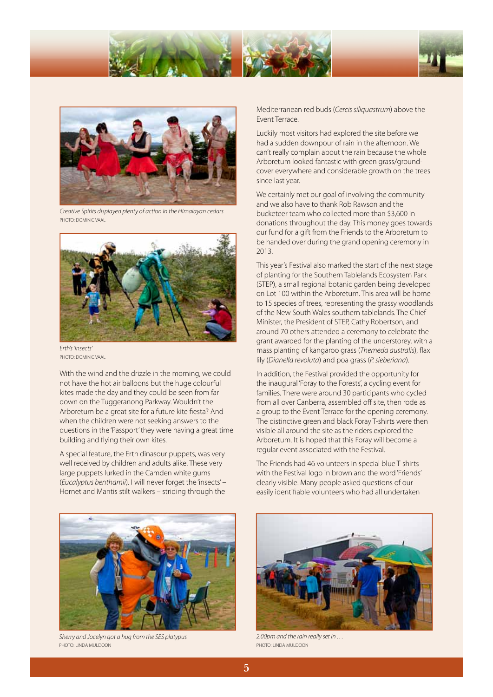





*Creative Spirits displayed plenty of action in the Himalayan cedars*  PHOTO: DOMINIC VAAL



*Erth's 'insects'*  PHOTO: DOMINIC VAAL

With the wind and the drizzle in the morning, we could not have the hot air balloons but the huge colourful kites made the day and they could be seen from far down on the Tuggeranong Parkway. Wouldn't the Arboretum be a great site for a future kite fiesta? And when the children were not seeking answers to the questions in the 'Passport' they were having a great time building and flying their own kites.

A special feature, the Erth dinasour puppets, was very well received by children and adults alike. These very large puppets lurked in the Camden white gums (*Eucalyptus benthamii*). I will never forget the 'insects' – Hornet and Mantis stilt walkers – striding through the Mediterranean red buds (*Cercis siliquastrum*) above the Event Terrace.

Luckily most visitors had explored the site before we had a sudden downpour of rain in the afternoon. We can't really complain about the rain because the whole Arboretum looked fantastic with green grass/groundcover everywhere and considerable growth on the trees since last year.

We certainly met our goal of involving the community and we also have to thank Rob Rawson and the bucketeer team who collected more than \$3,600 in donations throughout the day. This money goes towards our fund for a gift from the Friends to the Arboretum to be handed over during the grand opening ceremony in 2013.

This year's Festival also marked the start of the next stage of planting for the Southern Tablelands Ecosystem Park (STEP), a small regional botanic garden being developed on Lot 100 within the Arboretum. This area will be home to 15 species of trees, representing the grassy woodlands of the New South Wales southern tablelands. The Chief Minister, the President of STEP, Cathy Robertson, and around 70 others attended a ceremony to celebrate the grant awarded for the planting of the understorey. with a mass planting of kangaroo grass (*Themeda australis*), flax lily (*Dianella revoluta*) and poa grass (*P. sieberiana*).

In addition, the Festival provided the opportunity for the inaugural 'Foray to the Forests', a cycling event for families. There were around 30 participants who cycled from all over Canberra, assembled off site, then rode as a group to the Event Terrace for the opening ceremony. The distinctive green and black Foray T-shirts were then visible all around the site as the riders explored the Arboretum. It is hoped that this Foray will become a regular event associated with the Festival.

The Friends had 46 volunteers in special blue T-shirts with the Festival logo in brown and the word 'Friends' clearly visible. Many people asked questions of our easily identifiable volunteers who had all undertaken



*Sherry and Jocelyn got a hug from the SES platypus*  PHOTO: LINDA MULDOON



*2.00pm and the rain really set in . . .*  PHOTO: LINDA MULDOON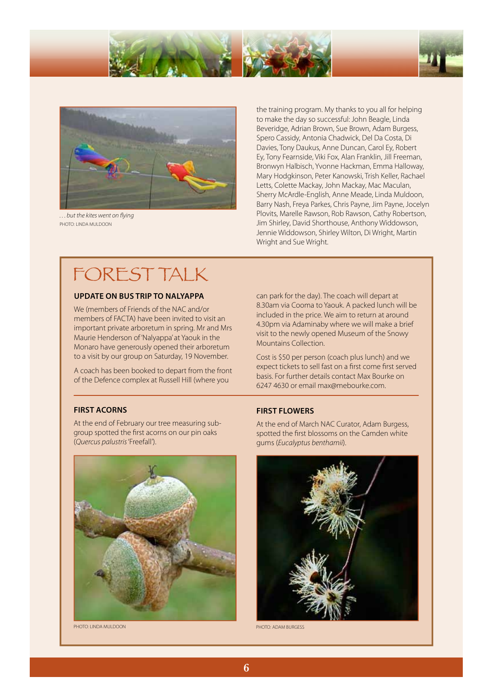



*. . . but the kites went on flying*  PHOTO: LINDA MULDOON

the training program. My thanks to you all for helping to make the day so successful: John Beagle, Linda Beveridge, Adrian Brown, Sue Brown, Adam Burgess, Spero Cassidy, Antonia Chadwick, Del Da Costa, Di Davies, Tony Daukus, Anne Duncan, Carol Ey, Robert Ey, Tony Fearnside, Viki Fox, Alan Franklin, Jill Freeman, Bronwyn Halbisch, Yvonne Hackman, Emma Halloway, Mary Hodgkinson, Peter Kanowski, Trish Keller, Rachael Letts, Colette Mackay, John Mackay, Mac Maculan, Sherry McArdle-English, Anne Meade, Linda Muldoon, Barry Nash, Freya Parkes, Chris Payne, Jim Payne, Jocelyn Plovits, Marelle Rawson, Rob Rawson, Cathy Robertson, Jim Shirley, David Shorthouse, Anthony Widdowson, Jennie Widdowson, Shirley Wilton, Di Wright, Martin Wright and Sue Wright.

# FOREST TALK

### **UPDATE ON BUS TRIP TO NALYAPPA**

We (members of Friends of the NAC and/or members of FACTA) have been invited to visit an important private arboretum in spring. Mr and Mrs Maurie Henderson of 'Nalyappa' at Yaouk in the Monaro have generously opened their arboretum to a visit by our group on Saturday, 19 November.

A coach has been booked to depart from the front of the Defence complex at Russell Hill (where you

#### **FIRST ACORNS**

At the end of February our tree measuring subgroup spotted the first acorns on our pin oaks (*Quercus palustris* 'Freefall').



PHOTO: LINDA MULDOON PHOTO: ADAM BURGESS

can park for the day). The coach will depart at 8.30am via Cooma to Yaouk. A packed lunch will be included in the price. We aim to return at around 4.30pm via Adaminaby where we will make a brief visit to the newly opened Museum of the Snowy Mountains Collection.

Cost is \$50 per person (coach plus lunch) and we expect tickets to sell fast on a first come first served basis. For further details contact Max Bourke on 6247 4630 or email max@mebourke.com.

#### **FIRST FLOWERS**

At the end of March NAC Curator, Adam Burgess, spotted the first blossoms on the Camden white gums (*Eucalyptus benthamii*).

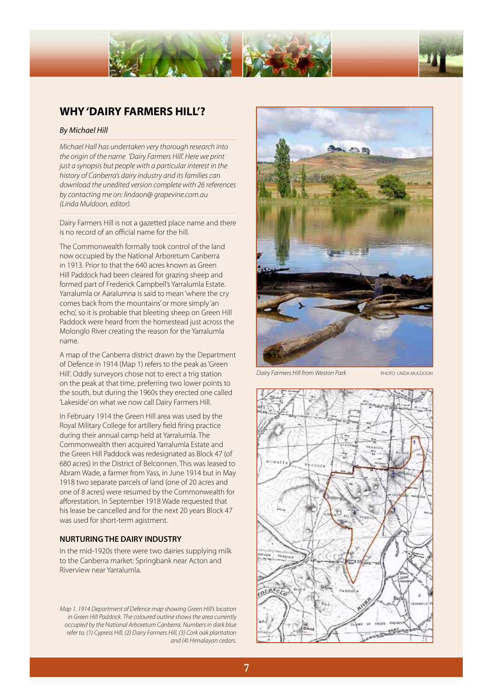



### **WHY 'DAIRY FARMERS HILL'?**

#### *By Michael Hill*

*Michael Hall has undertaken very thorough research into the origin of the name 'Dairy Farmers Hill'. Here we print just a synopsis but people with a particular interest in the history of Canberra's dairy industry and its families can download the unedited version complete with 26 references by contacting me on: lindaon@ grapevine.com.au (Linda Muldoon, editor).*

Dairy Farmers Hill is not a gazetted place name and there is no record of an official name for the hill.

The Commonwealth formally took control of the land now occupied by the National Arboretum Canberra in 1913. Prior to that the 640 acres known as Green Hill Paddock had been cleared for grazing sheep and formed part of Frederick Campbell's Yarralumla Estate. Yarralumla or Aaralumna is said to mean 'where the cry comes back from the mountains' or more simply 'an echo', so it is probable that bleeting sheep on Green Hill Paddock were heard from the homestead just across the Molonglo River creating the reason for the Yarralumla name.

A map of the Canberra district drawn by the Department of Defence in 1914 (Map 1) refers to the peak as 'Green Hill'. Oddly surveyors chose not to erect a trig station on the peak at that time, preferring two lower points to the south, but during the 1960s they erected one called 'Lakeside' on what we now call Dairy Farmers Hill.

In February 1914 the Green Hill area was used by the Royal Military College for artillery field firing practice during their annual camp held at Yarralumla. The Commonwealth then acquired Yarralumla Estate and the Green Hill Paddock was redesignated as Block 47 (of 680 acres) in the District of Belconnen. This was leased to Abram Wade, a farmer from Yass, in June 1914 but in May 1918 two separate parcels of land (one of 20 acres and one of 8 acres) were resumed by the Commonwealth for afforestation. In September 1918 Wade requested that his lease be cancelled and for the next 20 years Block 47 was used for short-term agistment.

### **NURTURING THE DAIRY INDUSTRY**

In the mid-1920s there were two dairies supplying milk to the Canberra market: Springbank near Acton and Riverview near Yarralumla.

*Map 1. 1914 Department of Defence map showing Green Hill's location in Green Hill Paddock. The coloured outline shows the area currently occupied by the National Arboretum Canberra. Numbers in dark blue refer to: (1) Cypress Hill, (2) Dairy Farmers Hill, (3) Cork oak plantation and (4) Himalayan cedars.* 



*Dairy Farmers Hill from Weston Park* PHOTO: LINDA MULDOON

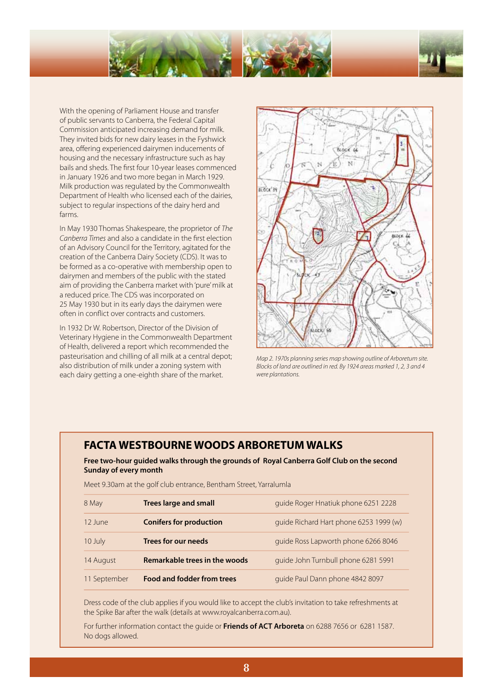



With the opening of Parliament House and transfer of public servants to Canberra, the Federal Capital Commission anticipated increasing demand for milk. They invited bids for new dairy leases in the Fyshwick area, offering experienced dairymen inducements of housing and the necessary infrastructure such as hay bails and sheds. The first four 10-year leases commenced in January 1926 and two more began in March 1929. Milk production was regulated by the Commonwealth Department of Health who licensed each of the dairies, subject to regular inspections of the dairy herd and farms.

In May 1930 Thomas Shakespeare, the proprietor of *The Canberra Times* and also a candidate in the first election of an Advisory Council for the Territory, agitated for the creation of the Canberra Dairy Society (CDS). It was to be formed as a co-operative with membership open to dairymen and members of the public with the stated aim of providing the Canberra market with 'pure' milk at a reduced price. The CDS was incorporated on 25 May 1930 but in its early days the dairymen were often in conflict over contracts and customers.

In 1932 Dr W. Robertson, Director of the Division of Veterinary Hygiene in the Commonwealth Department of Health, delivered a report which recommended the pasteurisation and chilling of all milk at a central depot; also distribution of milk under a zoning system with each dairy getting a one-eighth share of the market.



*Map 2. 1970s planning series map showing outline of Arboretum site. Blocks of land are outlined in red. By 1924 areas marked 1, 2, 3 and 4 were plantations.*

### **FACTA WESTBOURNE WOODS ARBORETUM WALKS**

### **Free two-hour guided walks through the grounds of Royal Canberra Golf Club on the second Sunday of every month**

Meet 9.30am at the golf club entrance, Bentham Street, Yarralumla

| 8 May        | <b>Trees large and small</b>      | quide Roger Hnatiuk phone 6251 2228    |
|--------------|-----------------------------------|----------------------------------------|
| 12 June      | <b>Conifers for production</b>    | quide Richard Hart phone 6253 1999 (w) |
| 10 July      | <b>Trees for our needs</b>        | quide Ross Lapworth phone 6266 8046    |
| 14 August    | Remarkable trees in the woods     | quide John Turnbull phone 6281 5991    |
| 11 September | <b>Food and fodder from trees</b> | quide Paul Dann phone 4842 8097        |

Dress code of the club applies if you would like to accept the club's invitation to take refreshments at the Spike Bar after the walk (details at www.royalcanberra.com.au).

For further information contact the guide or **Friends of ACT Arboreta** on 6288 7656 or 6281 1587. No dogs allowed.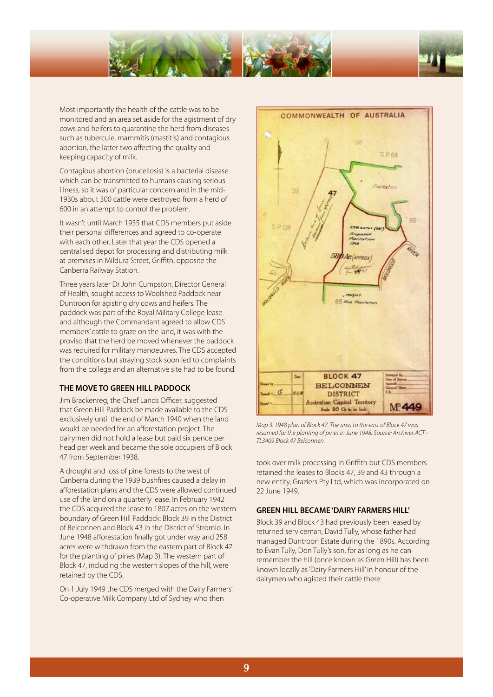



Most importantly the health of the cattle was to be monitored and an area set aside for the agistment of dry cows and heifers to quarantine the herd from diseases such as tubercule, mammitis (mastitis) and contagious abortion, the latter two affecting the quality and keeping capacity of milk.

Contagious abortion (brucellosis) is a bacterial disease which can be transmitted to humans causing serious illness, so it was of particular concern and in the mid-1930s about 300 cattle were destroyed from a herd of 600 in an attempt to control the problem.

It wasn't until March 1935 that CDS members put aside their personal differences and agreed to co-operate with each other. Later that year the CDS opened a centralised depot for processing and distributing milk at premises in Mildura Street, Griffith, opposite the Canberra Railway Station.

Three years later Dr John Cumpston, Director General of Health, sought access to Woolshed Paddock near Duntroon for agisting dry cows and heifers. The paddock was part of the Royal Military College lease and although the Commandant agreed to allow CDS members' cattle to graze on the land, it was with the proviso that the herd be moved whenever the paddock was required for military manoeuvres. The CDS accepted the conditions but straying stock soon led to complaints from the college and an alternative site had to be found.

### **THE MOVE TO GREEN HILL PADDOCK**

Jim Brackenreg, the Chief Lands Officer, suggested that Green Hill Paddock be made available to the CDS exclusively until the end of March 1940 when the land would be needed for an afforestation project. The dairymen did not hold a lease but paid six pence per head per week and became the sole occupiers of Block 47 from September 1938.

A drought and loss of pine forests to the west of Canberra during the 1939 bushfires caused a delay in afforestation plans and the CDS were allowed continued use of the land on a quarterly lease. In February 1942 the CDS acquired the lease to 1807 acres on the western boundary of Green Hill Paddock: Block 39 in the District of Belconnen and Block 43 in the District of Stromlo. In June 1948 afforestation finally got under way and 258 acres were withdrawn from the eastern part of Block 47 for the planting of pines (Map 3). The western part of Block 47, including the western slopes of the hill, were retained by the CDS.

On 1 July 1949 the CDS merged with the Dairy Farmers' Co-operative Milk Company Ltd of Sydney who then



*Map 3. 1948 plan of Block 47. The area to the east of Block 47 was resumed for the planting of pines in June 1948. Source: Archives ACT - TL3409 Block 47 Belconnen.*

took over milk processing in Griffith but CDS members retained the leases to Blocks 47, 39 and 43 through a new entity, Graziers Pty Ltd, which was incorporated on 22 June 1949.

### **GREEN HILL BECAME 'DAIRY FARMERS HILL'**

Block 39 and Block 43 had previously been leased by returned serviceman, David Tully, whose father had managed Duntroon Estate during the 1890s. According to Evan Tully, Don Tully's son, for as long as he can remember the hill (once known as Green Hill) has been known locally as 'Dairy Farmers Hill' in honour of the dairymen who agisted their cattle there.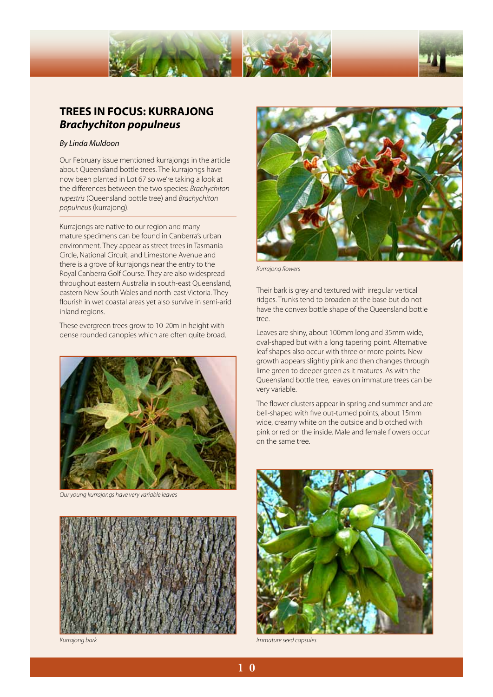

### **TREES IN FOCUS: KURRAJONG** *Brachychiton populneus*

#### *By Linda Muldoon*

Our February issue mentioned kurrajongs in the article about Queensland bottle trees. The kurrajongs have now been planted in Lot 67 so we're taking a look at the differences between the two species: *Brachychiton rupestris* (Queensland bottle tree) and *Brachychiton populneus* (kurrajong).

Kurrajongs are native to our region and many mature specimens can be found in Canberra's urban environment. They appear as street trees in Tasmania Circle, National Circuit, and Limestone Avenue and there is a grove of kurrajongs near the entry to the Royal Canberra Golf Course. They are also widespread throughout eastern Australia in south-east Queensland, eastern New South Wales and north-east Victoria. They flourish in wet coastal areas yet also survive in semi-arid inland regions.

These evergreen trees grow to 10-20m in height with dense rounded canopies which are often quite broad.



*Our young kurrajongs have very variable leaves* 





*Kurrajong flowers* 

Their bark is grey and textured with irregular vertical ridges. Trunks tend to broaden at the base but do not have the convex bottle shape of the Queensland bottle tree.

Leaves are shiny, about 100mm long and 35mm wide, oval-shaped but with a long tapering point. Alternative leaf shapes also occur with three or more points. New growth appears slightly pink and then changes through lime green to deeper green as it matures. As with the Queensland bottle tree, leaves on immature trees can be very variable.

The flower clusters appear in spring and summer and are bell-shaped with five out-turned points, about 15mm wide, creamy white on the outside and blotched with pink or red on the inside. Male and female flowers occur on the same tree.



*Kurrajong bark Immature seed capsules*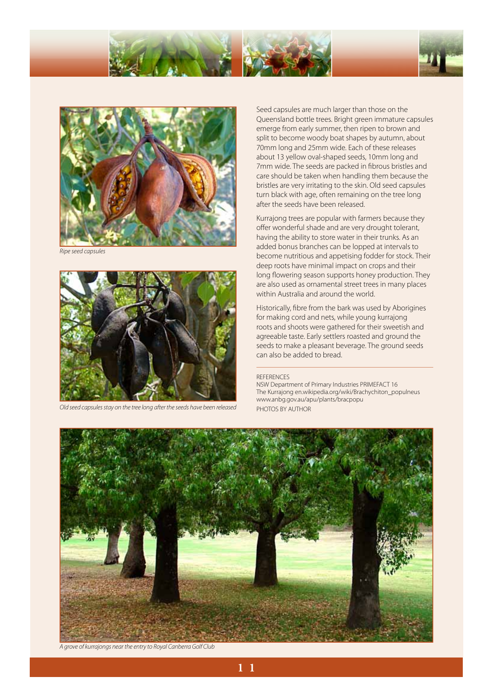





*Ripe seed capsules* 



*Old seed capsules stay on the tree long after the seeds have been released* 

Seed capsules are much larger than those on the Queensland bottle trees. Bright green immature capsules emerge from early summer, then ripen to brown and split to become woody boat shapes by autumn, about 70mm long and 25mm wide. Each of these releases about 13 yellow oval-shaped seeds, 10mm long and 7mm wide. The seeds are packed in fibrous bristles and care should be taken when handling them because the bristles are very irritating to the skin. Old seed capsules turn black with age, often remaining on the tree long after the seeds have been released.

Kurrajong trees are popular with farmers because they offer wonderful shade and are very drought tolerant, having the ability to store water in their trunks. As an added bonus branches can be lopped at intervals to become nutritious and appetising fodder for stock. Their deep roots have minimal impact on crops and their long flowering season supports honey production. They are also used as ornamental street trees in many places within Australia and around the world.

Historically, fibre from the bark was used by Aborigines for making cord and nets, while young kurrajong roots and shoots were gathered for their sweetish and agreeable taste. Early settlers roasted and ground the seeds to make a pleasant beverage. The ground seeds can also be added to bread.

#### REFERENCES

NSW Department of Primary Industries PRIMEFACT 16 The Kurrajong en.wikipedia.org/wiki/Brachychiton\_populneus www.anbg.gov.au/apu/plants/bracpopu PHOTOS BY AUTHOR



*A grove of kurrajongs near the entry to Royal Canberra Golf Club*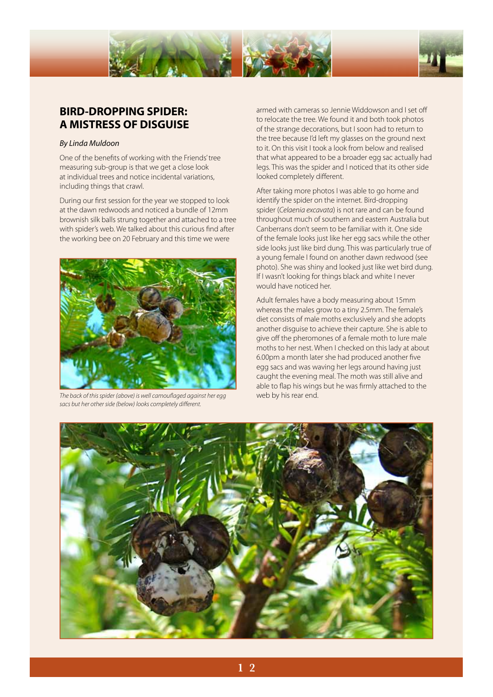



### **BIRD-DROPPING SPIDER: A MISTRESS OF DISGUISE**

### *By Linda Muldoon*

One of the benefits of working with the Friends' tree measuring sub-group is that we get a close look at individual trees and notice incidental variations, including things that crawl.

During our first session for the year we stopped to look at the dawn redwoods and noticed a bundle of 12mm brownish silk balls strung together and attached to a tree with spider's web. We talked about this curious find after the working bee on 20 February and this time we were



*The back of this spider (above) is well camouflaged against her egg* web by his rear end. *sacs but her other side (below) looks completely different.* 

armed with cameras so Jennie Widdowson and I set off to relocate the tree. We found it and both took photos of the strange decorations, but I soon had to return to the tree because I'd left my glasses on the ground next to it. On this visit I took a look from below and realised that what appeared to be a broader egg sac actually had legs. This was the spider and I noticed that its other side looked completely different.

After taking more photos I was able to go home and identify the spider on the internet. Bird-dropping spider (*Celaenia excavata*) is not rare and can be found throughout much of southern and eastern Australia but Canberrans don't seem to be familiar with it. One side of the female looks just like her egg sacs while the other side looks just like bird dung. This was particularly true of a young female I found on another dawn redwood (see photo). She was shiny and looked just like wet bird dung. If I wasn't looking for things black and white I never would have noticed her.

Adult females have a body measuring about 15mm whereas the males grow to a tiny 2.5mm. The female's diet consists of male moths exclusively and she adopts another disguise to achieve their capture. She is able to give off the pheromones of a female moth to lure male moths to her nest. When I checked on this lady at about 6.00pm a month later she had produced another five egg sacs and was waving her legs around having just caught the evening meal. The moth was still alive and able to flap his wings but he was firmly attached to the

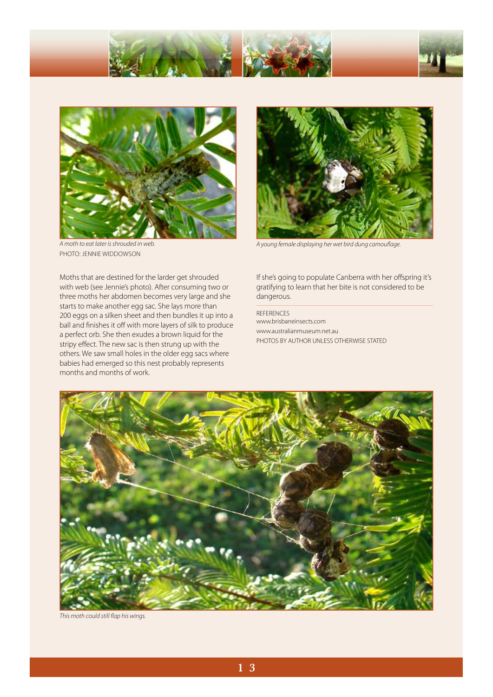



*A moth to eat later is shrouded in web.*  photo: jennie widdowson

*A young female displaying her wet bird dung camouflage.* 

Moths that are destined for the larder get shrouded with web (see Jennie's photo). After consuming two or three moths her abdomen becomes very large and she starts to make another egg sac. She lays more than 200 eggs on a silken sheet and then bundles it up into a ball and finishes it off with more layers of silk to produce a perfect orb. She then exudes a brown liquid for the stripy effect. The new sac is then strung up with the others. We saw small holes in the older egg sacs where babies had emerged so this nest probably represents months and months of work.

If she's going to populate Canberra with her offspring it's gratifying to learn that her bite is not considered to be dangerous.

REFERENCES www.brisbaneinsects.com www.australianmuseum.net.au PHOTOS BY AUTHOR UNLESS OTHERWISE STATED



*This moth could still flap his wings.*